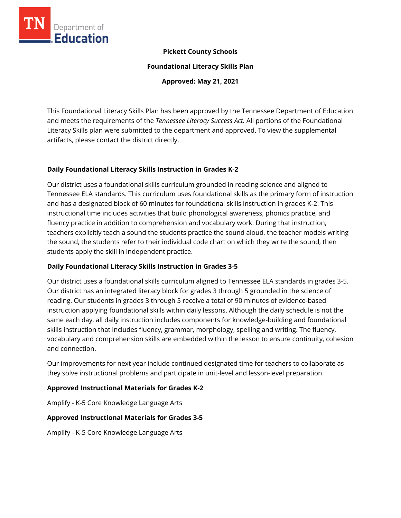

## **Pickett County Schools**

**Foundational Literacy Skills Plan**

**Approved: May 21, 2021**

This Foundational Literacy Skills Plan has been approved by the Tennessee Department of Education and meets the requirements of the *Tennessee Literacy Success Act.* All portions of the Foundational Literacy Skills plan were submitted to the department and approved. To view the supplemental artifacts, please contact the district directly.

## **Daily Foundational Literacy Skills Instruction in Grades K-2**

Our district uses a foundational skills curriculum grounded in reading science and aligned to Tennessee ELA standards. This curriculum uses foundational skills as the primary form of instruction and has a designated block of 60 minutes for foundational skills instruction in grades K-2. This instructional time includes activities that build phonological awareness, phonics practice, and fluency practice in addition to comprehension and vocabulary work. During that instruction, teachers explicitly teach a sound the students practice the sound aloud, the teacher models writing the sound, the students refer to their individual code chart on which they write the sound, then students apply the skill in independent practice.

# **Daily Foundational Literacy Skills Instruction in Grades 3-5**

Our district uses a foundational skills curriculum aligned to Tennessee ELA standards in grades 3-5. Our district has an integrated literacy block for grades 3 through 5 grounded in the science of reading. Our students in grades 3 through 5 receive a total of 90 minutes of evidence-based instruction applying foundational skills within daily lessons. Although the daily schedule is not the same each day, all daily instruction includes components for knowledge-building and foundational skills instruction that includes fluency, grammar, morphology, spelling and writing. The fluency, vocabulary and comprehension skills are embedded within the lesson to ensure continuity, cohesion and connection.

Our improvements for next year include continued designated time for teachers to collaborate as they solve instructional problems and participate in unit-level and lesson-level preparation.

## **Approved Instructional Materials for Grades K-2**

Amplify - K-5 Core Knowledge Language Arts

## **Approved Instructional Materials for Grades 3-5**

Amplify - K-5 Core Knowledge Language Arts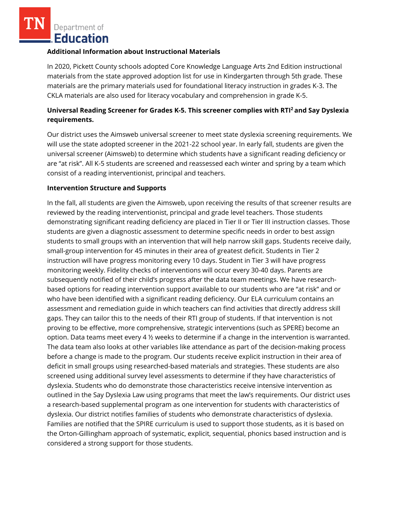Department of **Education** 

#### **Additional Information about Instructional Materials**

In 2020, Pickett County schools adopted Core Knowledge Language Arts 2nd Edition instructional materials from the state approved adoption list for use in Kindergarten through 5th grade. These materials are the primary materials used for foundational literacy instruction in grades K-3. The CKLA materials are also used for literacy vocabulary and comprehension in grade K-5.

## **Universal Reading Screener for Grades K-5. This screener complies with RTI<sup>2</sup>and Say Dyslexia requirements.**

Our district uses the Aimsweb universal screener to meet state dyslexia screening requirements. We will use the state adopted screener in the 2021-22 school year. In early fall, students are given the universal screener (Aimsweb) to determine which students have a significant reading deficiency or are "at risk". All K-5 students are screened and reassessed each winter and spring by a team which consist of a reading interventionist, principal and teachers.

#### **Intervention Structure and Supports**

In the fall, all students are given the Aimsweb, upon receiving the results of that screener results are reviewed by the reading interventionist, principal and grade level teachers. Those students demonstrating significant reading deficiency are placed in Tier II or Tier III instruction classes. Those students are given a diagnostic assessment to determine specific needs in order to best assign students to small groups with an intervention that will help narrow skill gaps. Students receive daily, small-group intervention for 45 minutes in their area of greatest deficit. Students in Tier 2 instruction will have progress monitoring every 10 days. Student in Tier 3 will have progress monitoring weekly. Fidelity checks of interventions will occur every 30-40 days. Parents are subsequently notified of their child's progress after the data team meetings. We have researchbased options for reading intervention support available to our students who are "at risk" and or who have been identified with a significant reading deficiency. Our ELA curriculum contains an assessment and remediation guide in which teachers can find activities that directly address skill gaps. They can tailor this to the needs of their RTI group of students. If that intervention is not proving to be effective, more comprehensive, strategic interventions (such as SPERE) become an option. Data teams meet every 4 ½ weeks to determine if a change in the intervention is warranted. The data team also looks at other variables like attendance as part of the decision-making process before a change is made to the program. Our students receive explicit instruction in their area of deficit in small groups using researched-based materials and strategies. These students are also screened using additional survey level assessments to determine if they have characteristics of dyslexia. Students who do demonstrate those characteristics receive intensive intervention as outlined in the Say Dyslexia Law using programs that meet the law's requirements. Our district uses a research-based supplemental program as one intervention for students with characteristics of dyslexia. Our district notifies families of students who demonstrate characteristics of dyslexia. Families are notified that the SPIRE curriculum is used to support those students, as it is based on the Orton-Gillingham approach of systematic, explicit, sequential, phonics based instruction and is considered a strong support for those students.